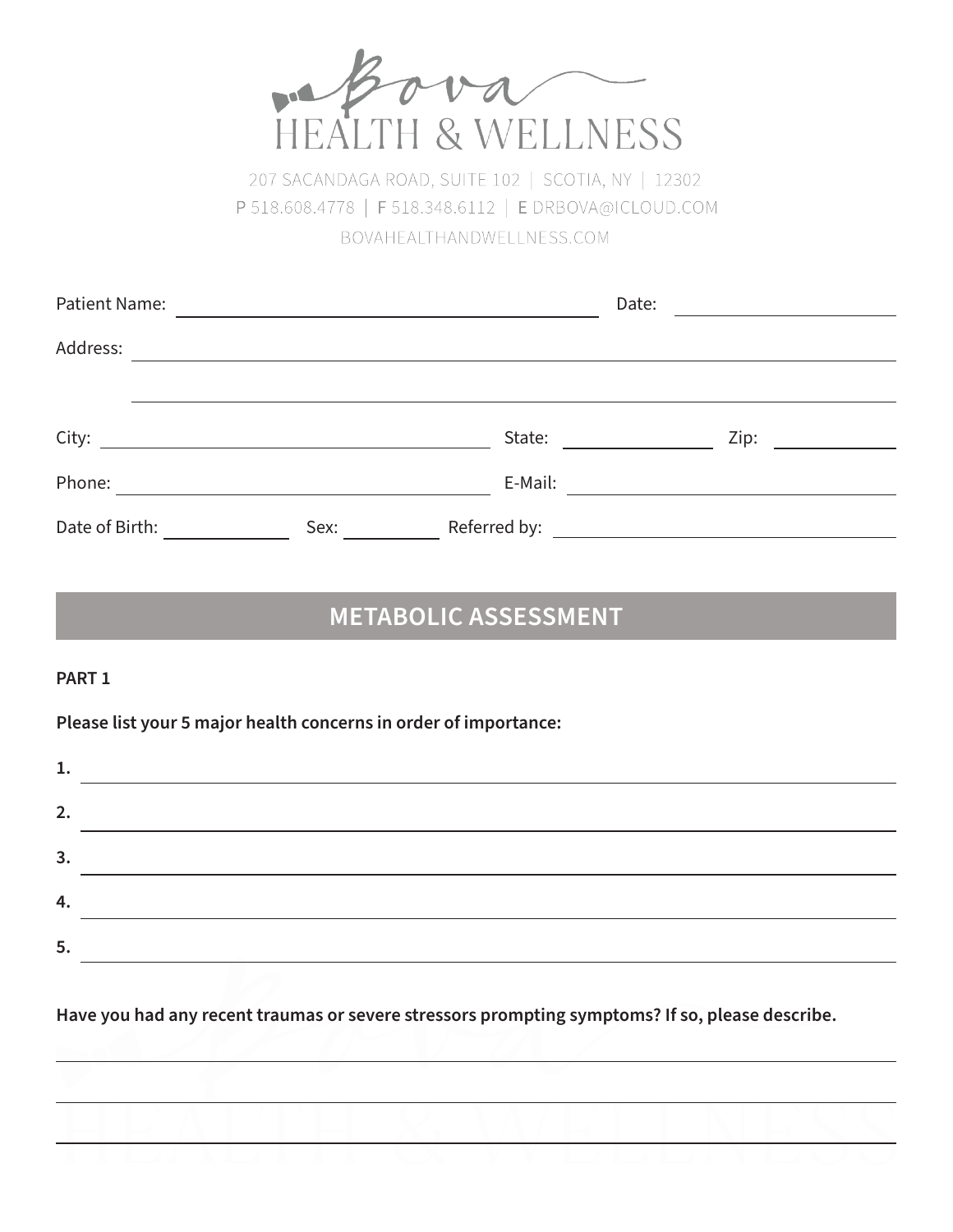

207 SACANDAGA ROAD, SUITE 102 | SCOTIA, NY | 12302 P 518.608.4778 | F 518.348.6112 | E DRBOVA@ICLOUD.COM BOVAHEALTHANDWELLNESS.COM

| Patient Name:  |                                                       |              | Date: |                                                                                                                        |  |
|----------------|-------------------------------------------------------|--------------|-------|------------------------------------------------------------------------------------------------------------------------|--|
| Address:       |                                                       |              |       |                                                                                                                        |  |
|                |                                                       |              |       |                                                                                                                        |  |
| City:          | <u> 1989 - Johann Stein, fransk politik (d. 1989)</u> | State:       |       | Zip:                                                                                                                   |  |
| Phone:         |                                                       | E-Mail:      |       |                                                                                                                        |  |
| Date of Birth: | Sex:                                                  | Referred by: |       | <u> 1980 - Jan Stein Harry Harry Harry Harry Harry Harry Harry Harry Harry Harry Harry Harry Harry Harry Harry Har</u> |  |

# **METABOLIC ASSESSMENT**

## **PART 1**

**Please list your 5 major health concerns in order of importance:**

| ᆠ. |  |
|----|--|
| 2. |  |
| 3. |  |
| 4. |  |
| 5. |  |

**Have you had any recent traumas or severe stressors prompting symptoms? If so, please describe.**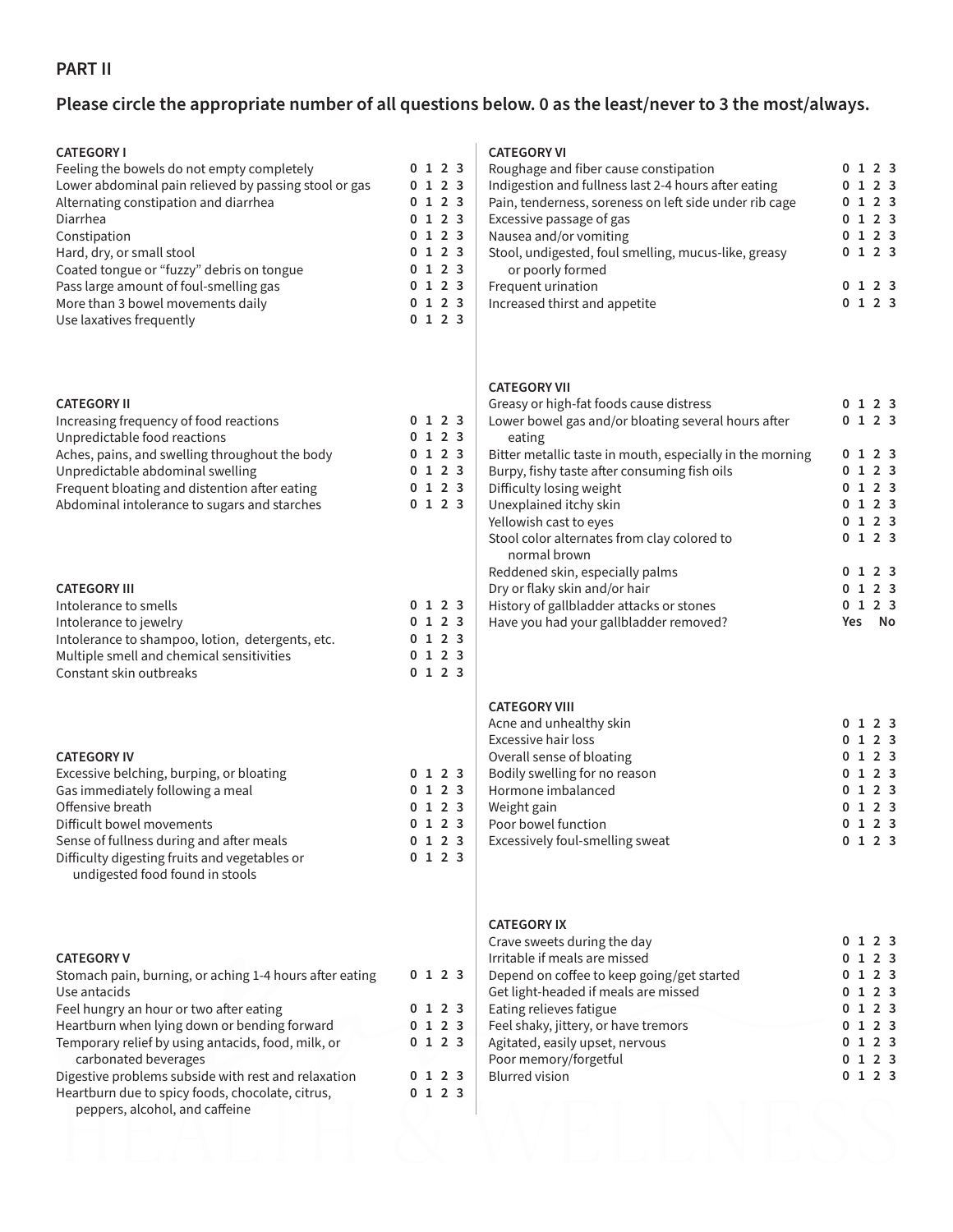# **PART II**

# **Please circle the appropriate number of all questions below. 0 as the least/never to 3 the most/always.**

| <b>CATEGORY I</b><br>Feeling the bowels do not empty completely<br>Lower abdominal pain relieved by passing stool or gas<br>Alternating constipation and diarrhea<br>Diarrhea<br>Constipation<br>Hard, dry, or small stool<br>Coated tongue or "fuzzy" debris on tongue<br>Pass large amount of foul-smelling gas<br>More than 3 bowel movements daily<br>Use laxatives frequently |   | 0123<br>0123<br>0123<br>0123<br>0123<br>0 1 2 3<br>0123<br>0123<br>0123<br>0123 | <b>CATI</b><br>Roug<br>Indig<br>Pain<br>Exce<br>Nau:<br>Stoo<br>O<br>Freq<br>Incre                   |
|------------------------------------------------------------------------------------------------------------------------------------------------------------------------------------------------------------------------------------------------------------------------------------------------------------------------------------------------------------------------------------|---|---------------------------------------------------------------------------------|------------------------------------------------------------------------------------------------------|
| <b>CATEGORY II</b><br>Increasing frequency of food reactions<br>Unpredictable food reactions<br>Aches, pains, and swelling throughout the body<br>Unpredictable abdominal swelling<br>Frequent bloating and distention after eating<br>Abdominal intolerance to sugars and starches                                                                                                |   | 0 1 2 3<br>0 1 2 3<br>0 1 2 3<br>0 1 2 3<br>0 1 2 3<br>0123                     | <b>CATI</b><br>Grea<br>Low<br>e<br><b>Bitte</b><br>Burp<br>Diffi<br>Unex<br>Yellc<br>Stoo<br>n       |
| <b>CATEGORY III</b><br>Intolerance to smells<br>Intolerance to jewelry<br>Intolerance to shampoo, lotion, detergents, etc.<br>Multiple smell and chemical sensitivities<br>Constant skin outbreaks                                                                                                                                                                                 |   | 0 1 2 3<br>0 1 2 3<br>0 1 2 3<br>0 1 2 3<br>0123                                | Redo<br>Dry o<br>Histo<br>Have                                                                       |
| <b>CATEGORY IV</b><br>Excessive belching, burping, or bloating<br>Gas immediately following a meal<br>Offensive breath<br>Difficult bowel movements<br>Sense of fullness during and after meals<br>Difficulty digesting fruits and vegetables or<br>undigested food found in stools                                                                                                |   | 0 1 2 3<br>0 1 2 3<br>0 1 2 3<br>0123<br>0 1 2 3<br>0123                        | <b>CATI</b><br>Acne<br>Exce<br>Over<br>Bodi<br>Horr<br>Weig<br>Poor<br>Exce                          |
| <b>CATEGORY V</b><br>Stomach pain, burning, or aching 1-4 hours after eating<br>Use antacids<br>Feel hungry an hour or two after eating<br>Heartburn when lying down or bending forward<br>Temporary relief by using antacids, food, milk, or<br>carbonated beverages                                                                                                              | 0 | 0123<br>0 1 2 3<br>0123<br>0123<br>1 2 3                                        | <b>CATI</b><br>Crav<br>Irrita<br>Dep <sub>6</sub><br>Get l<br>Eatir<br>Feel<br>Agita<br>Poor<br>Blur |
| Digestive problems subside with rest and relaxation<br>Heartburn due to spicy foods, chocolate, citrus,<br>peppers, alcohol, and caffeine                                                                                                                                                                                                                                          |   | 0 1 2 3                                                                         |                                                                                                      |

#### **EGORY VI**

| Roughage and fiber cause constipation                  | 0123 |
|--------------------------------------------------------|------|
| Indigestion and fullness last 2-4 hours after eating   | 0123 |
| Pain, tenderness, soreness on left side under rib cage | 0123 |
| Excessive passage of gas                               | 0123 |
| Nausea and/or vomiting                                 | 0123 |
| Stool, undigested, foul smelling, mucus-like, greasy   | 0123 |
| or poorly formed                                       |      |
| Frequent urination                                     | 0123 |
| Increased thirst and appetite                          | 123  |

#### **EGORY VII**

| Greasy or high-fat foods cause distress                   |     | 0123       |    |
|-----------------------------------------------------------|-----|------------|----|
| Lower bowel gas and/or bloating several hours after       |     | 0123       |    |
| eating                                                    |     |            |    |
| Bitter metallic taste in mouth, especially in the morning |     | 0123       |    |
| Burpy, fishy taste after consuming fish oils              |     | 0123       |    |
| Difficulty losing weight                                  |     | 0, 1, 2, 3 |    |
| Unexplained itchy skin                                    |     | 0123       |    |
| Yellowish cast to eyes                                    |     | 0123       |    |
| Stool color alternates from clay colored to               |     | 0123       |    |
| normal brown                                              |     |            |    |
| Reddened skin, especially palms                           |     | 0123       |    |
| Dry or flaky skin and/or hair                             |     | 0, 1, 2, 3 |    |
| History of gallbladder attacks or stones                  |     | 0123       |    |
| Have you had your gallbladder removed?                    | Yes |            | No |

#### **EGORY VIII**

| Acne and unhealthy skin         |  | 0123       |  |
|---------------------------------|--|------------|--|
| Excessive hair loss             |  | 0123       |  |
| Overall sense of bloating       |  | 0123       |  |
| Bodily swelling for no reason   |  | 0123       |  |
| Hormone imbalanced              |  | 0, 1, 2, 3 |  |
| Weight gain                     |  | 0, 1, 2, 3 |  |
| Poor bowel function             |  | 0123       |  |
| Excessively foul-smelling sweat |  | 0, 1, 2, 3 |  |
|                                 |  |            |  |

#### **CGORY IX**

| Crave sweets during the day                |  | 0123       |  |
|--------------------------------------------|--|------------|--|
| Irritable if meals are missed              |  | 0123       |  |
| Depend on coffee to keep going/get started |  | 0123       |  |
| Get light-headed if meals are missed       |  | 0123       |  |
| Eating relieves fatigue                    |  | 0123       |  |
| Feel shaky, jittery, or have tremors       |  | 0123       |  |
| Agitated, easily upset, nervous            |  | 0123       |  |
| Poor memory/forgetful                      |  | 0123       |  |
| <b>Blurred vision</b>                      |  | 0, 1, 2, 3 |  |
|                                            |  |            |  |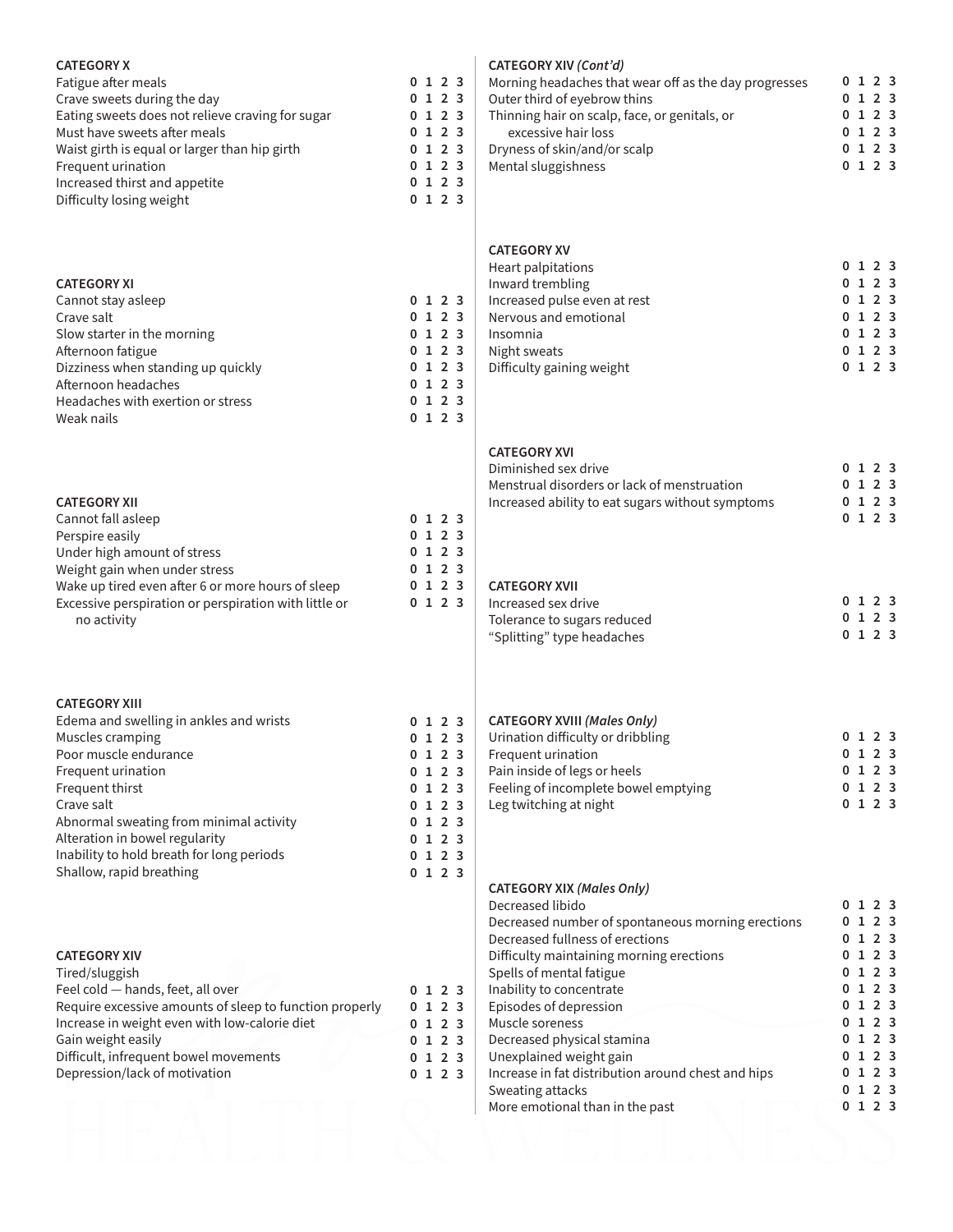#### **CATEGORY X**

| Fatigue after meals                              | 012            |  |
|--------------------------------------------------|----------------|--|
| Crave sweets during the day                      | 012            |  |
| Eating sweets does not relieve craving for sugar | 012            |  |
| Must have sweets after meals                     | 012            |  |
| Waist girth is equal or larger than hip girth    | 012            |  |
| Frequent urination                               | 012            |  |
| Increased thirst and appetite                    | 012            |  |
| Difficulty losing weight                         | 1 <sub>2</sub> |  |

### **CATEGORY XI**

| Cannot stay asleep                 |  | 0123    |  |
|------------------------------------|--|---------|--|
| Crave salt                         |  | 0 1 2 3 |  |
| Slow starter in the morning        |  | 0123    |  |
| Afternoon fatigue                  |  | 0123    |  |
| Dizziness when standing up quickly |  | 0123    |  |
| Afternoon headaches                |  | 0123    |  |
| Headaches with exertion or stress  |  | 0123    |  |
| Weak nails                         |  | 0123    |  |
|                                    |  |         |  |

| <b>CATEGORY XII</b>                                   |  |         |  |
|-------------------------------------------------------|--|---------|--|
| Cannot fall asleep                                    |  | 0 1 2 3 |  |
| Perspire easily                                       |  | 0123    |  |
| Under high amount of stress                           |  | 0123    |  |
| Weight gain when under stress                         |  | 0123    |  |
| Wake up tired even after 6 or more hours of sleep     |  | 0123    |  |
| Excessive perspiration or perspiration with little or |  | 0123    |  |
| no activity                                           |  |         |  |

#### **CATEGORY XIII**

| Edema and swelling in ankles and wrists   |  | 0123 |  |
|-------------------------------------------|--|------|--|
| Muscles cramping                          |  | 0123 |  |
| Poor muscle endurance                     |  | 0123 |  |
| Frequent urination                        |  | 0123 |  |
| Frequent thirst                           |  | 0123 |  |
| Crave salt                                |  | 0123 |  |
| Abnormal sweating from minimal activity   |  | 0123 |  |
| Alteration in bowel regularity            |  | 0123 |  |
| Inability to hold breath for long periods |  | 0123 |  |
| Shallow, rapid breathing                  |  | 0123 |  |

#### **CATEGORY XIV**

| Tired/sluggish                                          |  |      |  |
|---------------------------------------------------------|--|------|--|
| Feel cold - hands, feet, all over                       |  | 0123 |  |
| Require excessive amounts of sleep to function properly |  | 0123 |  |
| Increase in weight even with low-calorie diet           |  | 0123 |  |
| Gain weight easily                                      |  | 0123 |  |
| Difficult, infrequent bowel movements                   |  | 0123 |  |
| Depression/lack of motivation                           |  | 0123 |  |
|                                                         |  |      |  |

#### **CATEGORY XIV** *(Cont'd)*

| Morning headaches that wear off as the day progresses |  | 0, 1, 2, 3 |  |
|-------------------------------------------------------|--|------------|--|
| Outer third of eyebrow thins                          |  | 0123       |  |
| Thinning hair on scalp, face, or genitals, or         |  | 0123       |  |
| excessive hair loss                                   |  | 0 1 2 3    |  |
| Dryness of skin/and/or scalp                          |  | 0 1 2 3    |  |
| Mental sluggishness                                   |  | 0 1 2 3    |  |
|                                                       |  |            |  |

#### **CATEGORY XV**

| Heart palpitations           |  | 0123 |  |
|------------------------------|--|------|--|
| Inward trembling             |  | 0123 |  |
| Increased pulse even at rest |  | 0123 |  |
| Nervous and emotional        |  | 0123 |  |
| Insomnia                     |  | 0123 |  |
| Night sweats                 |  | 0123 |  |
| Difficulty gaining weight    |  | 0123 |  |
|                              |  |      |  |

#### **CATEGORY XVI**

| Diminished sex drive                             |  | 0 1 2 3 |  |
|--------------------------------------------------|--|---------|--|
| Menstrual disorders or lack of menstruation      |  | 0123    |  |
| Increased ability to eat sugars without symptoms |  | 0123    |  |
|                                                  |  | 0 1 2 3 |  |

#### **CATEGORY XVII**

| Increased sex drive         |  | 0 1 2 3 |  |
|-----------------------------|--|---------|--|
| Tolerance to sugars reduced |  | 0 1 2 3 |  |
| "Splitting" type headaches  |  | 0 1 2 3 |  |

### **CATEGORY XVIII** *(Males Only)*

| Urination difficulty or dribbling    | 0 1 2 3    |
|--------------------------------------|------------|
| Frequent urination                   | 0 1 2 3    |
| Pain inside of legs or heels         | 0 1 2 3    |
| Feeling of incomplete bowel emptying | 0, 1, 2, 3 |
| Leg twitching at night               | 0, 1, 2, 3 |

#### **CATEGORY XIX** *(Males Only)* Decreased libido

| Decreased libido                                   |    | 1 2 3       |  |
|----------------------------------------------------|----|-------------|--|
| Decreased number of spontaneous morning erections  |    | 1 2 3       |  |
| Decreased fullness of erections                    |    | $1 \t2 \t3$ |  |
| Difficulty maintaining morning erections           |    | 1 2 3       |  |
| Spells of mental fatigue                           |    | 0123        |  |
| Inability to concentrate                           |    | 0123        |  |
| Episodes of depression                             |    | 0123        |  |
| Muscle soreness                                    |    | 1 2 3       |  |
| Decreased physical stamina                         |    | 0123        |  |
| Unexplained weight gain                            |    | 0123        |  |
| Increase in fat distribution around chest and hips |    | 1 2 3       |  |
| Sweating attacks                                   |    | 1 2 3       |  |
| More emotional than in the past                    | 1. | 2 3         |  |
|                                                    |    |             |  |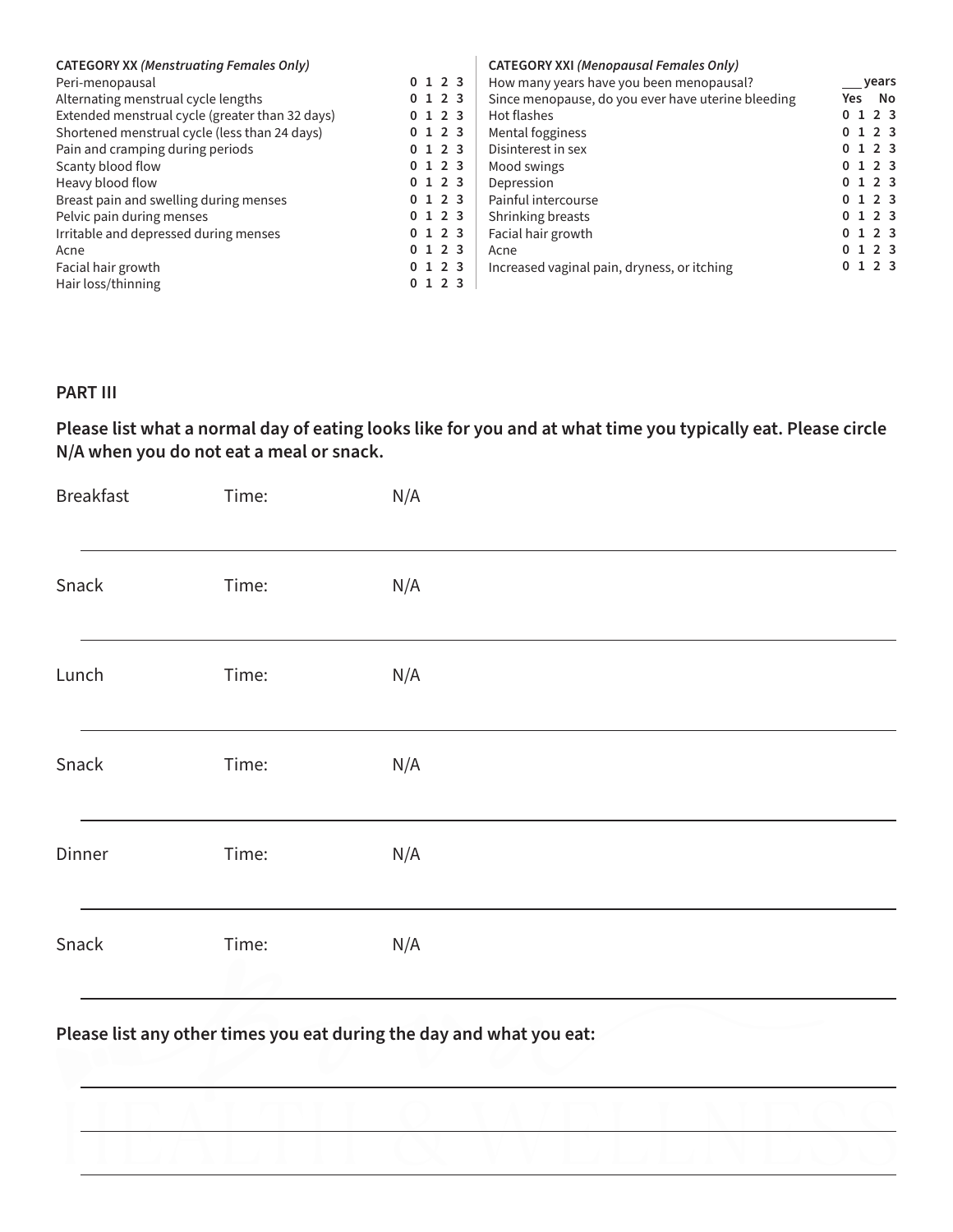| <b>CATEGORY XX (Menstruating Females Only)</b>  |         | <b>CATEGORY XXI (Menopausal Females Only)</b>      |             |
|-------------------------------------------------|---------|----------------------------------------------------|-------------|
| Peri-menopausal                                 | 0123    | How many years have you been menopausal?           | vears       |
| Alternating menstrual cycle lengths             | 0123    | Since menopause, do you ever have uterine bleeding | - No<br>Yes |
| Extended menstrual cycle (greater than 32 days) | 0123    | Hot flashes                                        | 0123        |
| Shortened menstrual cycle (less than 24 days)   | 0123    | Mental fogginess                                   | 0123        |
| Pain and cramping during periods                | 0 1 2 3 | Disinterest in sex                                 | 0123        |
| Scanty blood flow                               | 0123    | Mood swings                                        | 0123        |
| Heavy blood flow                                | 0123    | Depression                                         | 0123        |
| Breast pain and swelling during menses          | 0123    | Painful intercourse                                | 0123        |
| Pelvic pain during menses                       | 0123    | Shrinking breasts                                  | 0123        |
| Irritable and depressed during menses           | 0123    | Facial hair growth                                 | 0123        |
| Acne                                            | 0123    | Acne                                               | 0123        |
| Facial hair growth                              | 0123    | Increased vaginal pain, dryness, or itching        | 0123        |
| Hair loss/thinning                              | 0123    |                                                    |             |

### **PART III**

# **Please list what a normal day of eating looks like for you and at what time you typically eat. Please circle N/A when you do not eat a meal or snack.**

| <b>Breakfast</b> | Time: | N/A |  |
|------------------|-------|-----|--|
| Snack            | Time: | N/A |  |
| Lunch            | Time: | N/A |  |
| Snack            | Time: | N/A |  |
| Dinner           | Time: | N/A |  |
| Snack            | Time: | N/A |  |

**Please list any other times you eat during the day and what you eat:**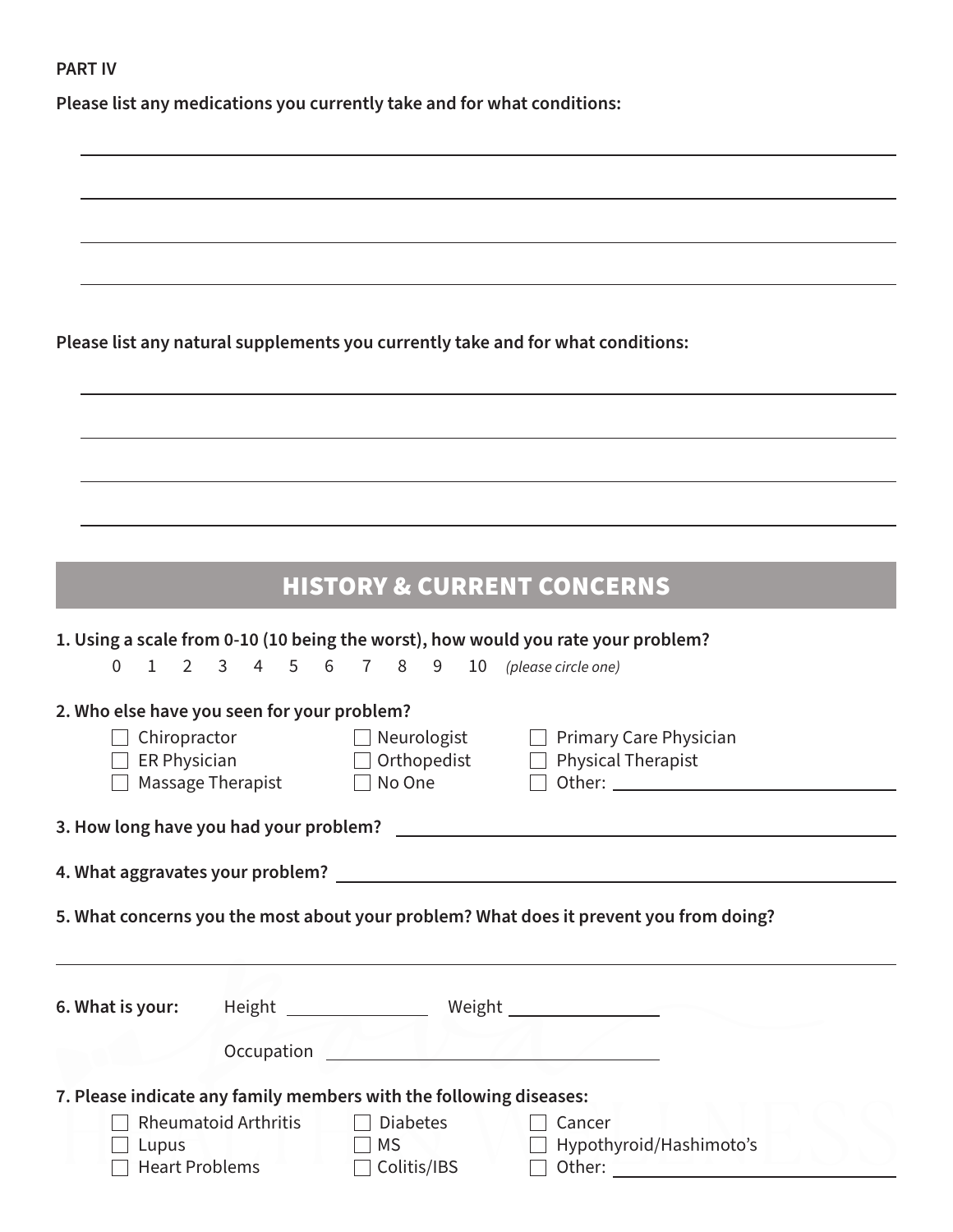### **PART IV**

**Please list any medications you currently take and for what conditions:**

**Please list any natural supplements you currently take and for what conditions:**

# HISTORY & CURRENT CONCERNS

|                                                                                           |                                                                                        |                                                     | 1. Using a scale from 0-10 (10 being the worst), how would you rate your problem?                              |  |  |  |
|-------------------------------------------------------------------------------------------|----------------------------------------------------------------------------------------|-----------------------------------------------------|----------------------------------------------------------------------------------------------------------------|--|--|--|
| $\Omega$                                                                                  |                                                                                        |                                                     | 1 2 3 4 5 6 7 8 9 10 (please circle one)                                                                       |  |  |  |
| 2. Who else have you seen for your problem?<br>$\Box$ Chiropractor<br>$\Box$ ER Physician | Massage Therapist                                                                      | $\Box$ Neurologist $\Box$<br>No One<br>$\mathbf{1}$ | Primary Care Physician<br>$\Box$ Orthopedist $\Box$ Physical Therapist<br>$\perp$                              |  |  |  |
|                                                                                           |                                                                                        |                                                     |                                                                                                                |  |  |  |
|                                                                                           | 5. What concerns you the most about your problem? What does it prevent you from doing? |                                                     |                                                                                                                |  |  |  |
|                                                                                           |                                                                                        |                                                     |                                                                                                                |  |  |  |
| 6. What is your:                                                                          |                                                                                        |                                                     |                                                                                                                |  |  |  |
|                                                                                           |                                                                                        |                                                     | Occupation and the contract of the contract of the contract of the contract of the contract of the contract of |  |  |  |
| 7. Please indicate any family members with the following diseases:                        |                                                                                        |                                                     |                                                                                                                |  |  |  |
| Lupus<br><b>Heart Problems</b>                                                            | Rheumatoid Arthritis                                                                   | <b>Diabetes</b><br>MS<br>Colitis/IBS                | Cancer<br>Hypothyroid/Hashimoto's                                                                              |  |  |  |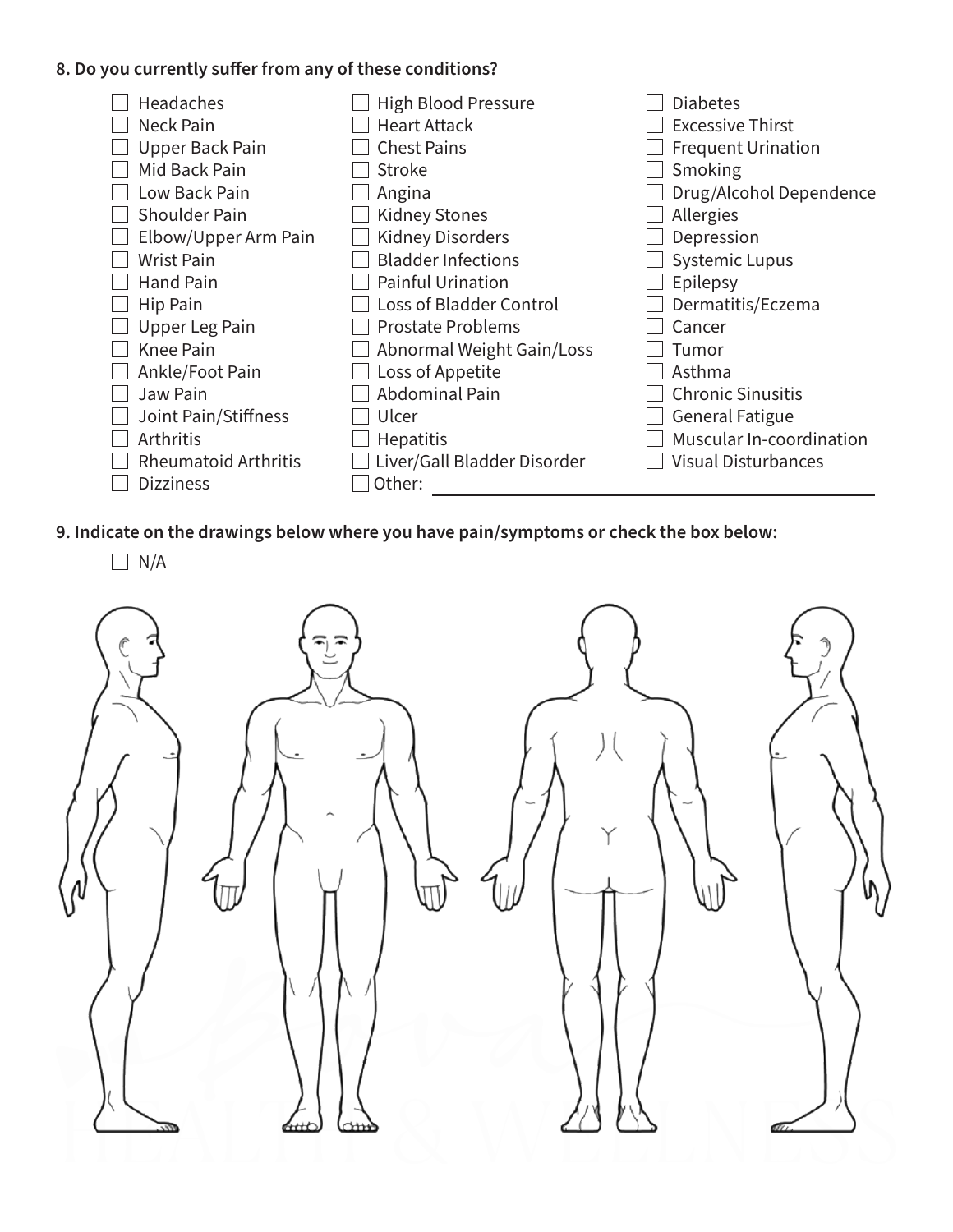## **8. Do you currently suffer from any of these conditions?**



**9. Indicate on the drawings below where you have pain/symptoms or check the box below:**

 $\Box$  N/A